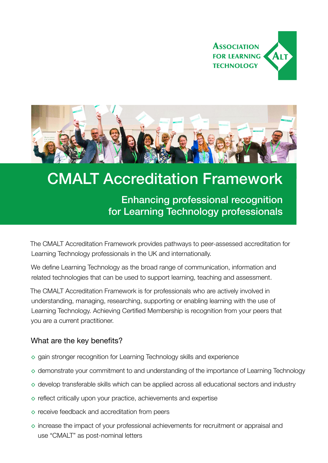



## CMALT Accreditation Framework

Enhancing professional recognition for Learning Technology professionals

The CMALT Accreditation Framework provides pathways to peer-assessed accreditation for Learning Technology professionals in the UK and internationally.

We define Learning Technology as the broad range of communication, information and related technologies that can be used to support learning, teaching and assessment.

The CMALT Accreditation Framework is for professionals who are actively involved in understanding, managing, researching, supporting or enabling learning with the use of Learning Technology. Achieving Certified Membership is recognition from your peers that you are a current practitioner.

### What are the key benefits?

- ◊ gain stronger recognition for Learning Technology skills and experience
- ◊ demonstrate your commitment to and understanding of the importance of Learning Technology
- ◊ develop transferable skills which can be applied across all educational sectors and industry
- $\circ$  reflect critically upon your practice, achievements and expertise
- ◊ receive feedback and accreditation from peers
- ◊ increase the impact of your professional achievements for recruitment or appraisal and use "CMALT" as post-nominal letters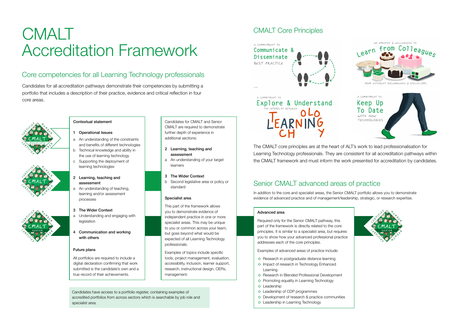# CMALT Accreditation Framework

Candidates for all accreditation pathways demonstrate their competencies by submitting a portfolio that includes a description of their practice, evidence and critical reflection in four core areas.

## Core competencies for all Learning Technology professionals

Candidates have access to a portfolio register, containing examples of accredited portfolios from across sectors which is searchable by job role and specialist area.

#### Advanced area

Required only for the Senior CMALT pathway, this part of the framework is directly related to the core principles. It is similar to a specialist area, but requires you to show how your advanced professional practice addresses each of the core principles.

Examples of advanced areas of practice include:

- ◊ Research in postgraduate distance learning
- ◊ Impact of research in Technology Enhanced Learning
- ◊ Research in Blended Professional Development
- ◊ Promoting equality in Learning Technology
- ◊ Leadership
- ◊ Leadership of CDP programmes
- ◊ Development of research & practice communities
- ◊ Leadership in Learning Technology





The CMALT core principles are at the heart of ALT's work to lead professionalisation for Learning Technology professionals. They are consistent for all accreditation pathways within the CMALT framework and must inform the work presented for accreditation by candidates.

## Senior CMALT advanced areas of practice

In addition to the core and specialist areas, the Senior CMALT portfolio allows you to demonstrate evidence of advanced practice and of management/leadership, strategic, or research expertise.

## CMALT Core Principles



Explore & Understand LEARNIN

Candidates for CMALT and Senior CMALT are required to demonstrate further depth of experience in

additional sections:

2 Learning, teaching and

assessment

a An understanding of your target

learners

3 The Wider Context

b Second legislative area or policy or

standard

Specialist area

This part of the framework allows you to demonstrate evidence of independent practice in one or more specialist areas. This may be unique to you or common across your team, but goes beyond what would be expected of all Learning Technology

professionals.

Examples of topics include specific tools, project management, evaluation, accessibility, inclusion, learner support, research, instructional design, OERs,







management.

## Contextual statement

- 1 Operational Issues
- a An understanding of the constraints and benefits of different technologies
- b Technical knowledge and ability in the use of learning technology
- c Supporting the deployment of
- 2 Learning, teaching and assessment

learning technologies

a An understanding of teaching, learning and/or assessment processes

#### 3 The Wider Context

- a Understanding and engaging with legislation
- 4 Communication and working with others

#### Future plans

All portfolios are required to include a digital declaration confirming that work submitted is the candidate's own and a true record of their achievements.